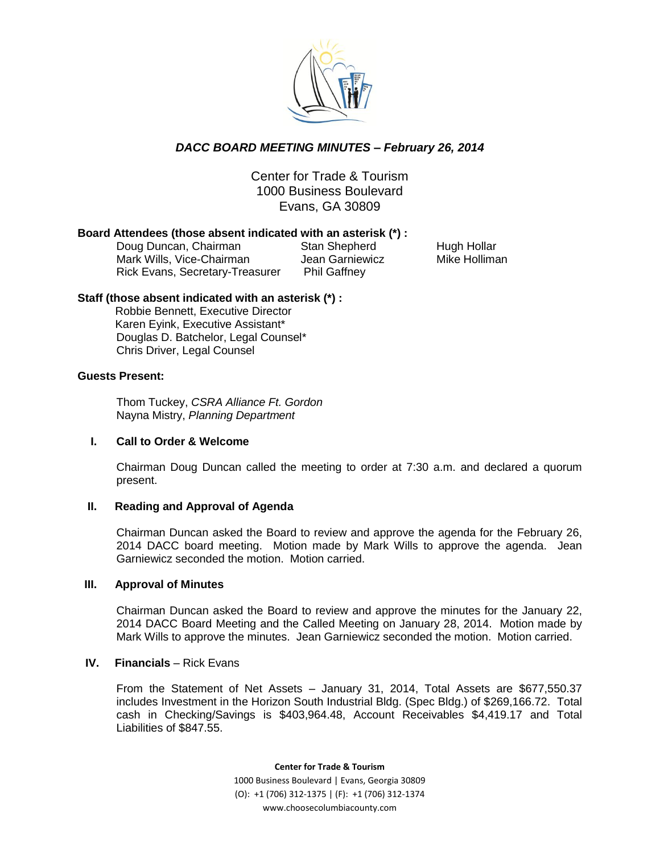

# *DACC BOARD MEETING MINUTES – February 26, 2014*

Center for Trade & Tourism 1000 Business Boulevard Evans, GA 30809

### **Board Attendees (those absent indicated with an asterisk (\*) :**

Doug Duncan, Chairman Stan Shepherd Hugh Hollar Mark Wills, Vice-Chairman Jean Garniewicz Mike Holliman Rick Evans, Secretary-Treasurer Phil Gaffney

### **Staff (those absent indicated with an asterisk (\*) :**

 Robbie Bennett, Executive Director Karen Eyink, Executive Assistant\* Douglas D. Batchelor, Legal Counsel\* Chris Driver, Legal Counsel

### **Guests Present:**

Thom Tuckey, *CSRA Alliance Ft. Gordon* Nayna Mistry, *Planning Department* 

### **I. Call to Order & Welcome**

Chairman Doug Duncan called the meeting to order at 7:30 a.m. and declared a quorum present.

### **II. Reading and Approval of Agenda**

Chairman Duncan asked the Board to review and approve the agenda for the February 26, 2014 DACC board meeting. Motion made by Mark Wills to approve the agenda. Jean Garniewicz seconded the motion. Motion carried.

### **III. Approval of Minutes**

Chairman Duncan asked the Board to review and approve the minutes for the January 22, 2014 DACC Board Meeting and the Called Meeting on January 28, 2014. Motion made by Mark Wills to approve the minutes. Jean Garniewicz seconded the motion. Motion carried.

### **IV.** Financials – Rick Evans

From the Statement of Net Assets – January 31, 2014, Total Assets are \$677,550.37 includes Investment in the Horizon South Industrial Bldg. (Spec Bldg.) of \$269,166.72. Total cash in Checking/Savings is \$403,964.48, Account Receivables \$4,419.17 and Total Liabilities of \$847.55.

> **Center for Trade & Tourism** 1000 Business Boulevard | Evans, Georgia 30809 (O): +1 (706) 312-1375 | (F): +1 (706) 312-1374 www.choosecolumbiacounty.com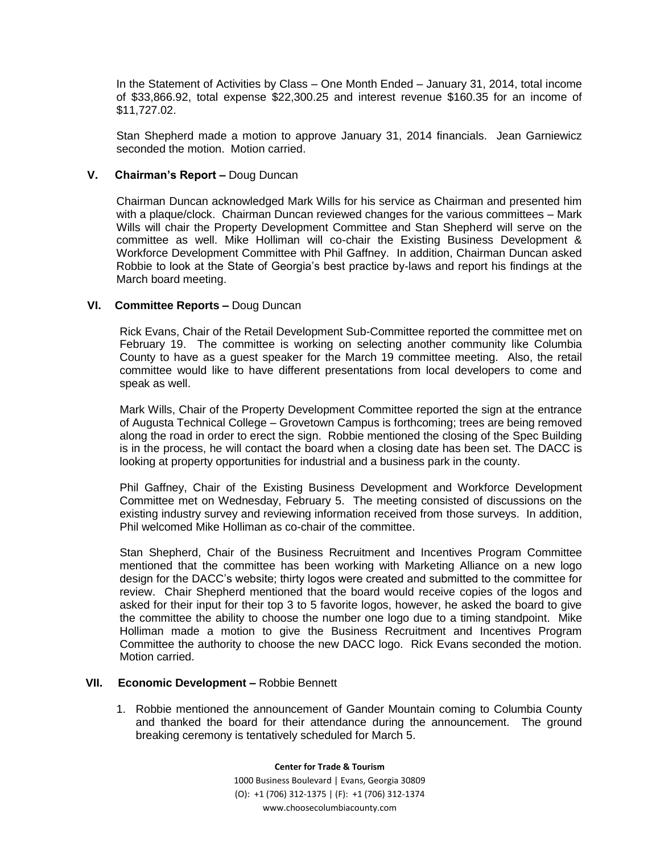In the Statement of Activities by Class – One Month Ended – January 31, 2014, total income of \$33,866.92, total expense \$22,300.25 and interest revenue \$160.35 for an income of \$11,727.02.

Stan Shepherd made a motion to approve January 31, 2014 financials. Jean Garniewicz seconded the motion. Motion carried.

### **V. Chairman's Report –** Doug Duncan

Chairman Duncan acknowledged Mark Wills for his service as Chairman and presented him with a plaque/clock. Chairman Duncan reviewed changes for the various committees – Mark Wills will chair the Property Development Committee and Stan Shepherd will serve on the committee as well. Mike Holliman will co-chair the Existing Business Development & Workforce Development Committee with Phil Gaffney. In addition, Chairman Duncan asked Robbie to look at the State of Georgia's best practice by-laws and report his findings at the March board meeting.

### **VI. Committee Reports –** Doug Duncan

Rick Evans, Chair of the Retail Development Sub-Committee reported the committee met on February 19. The committee is working on selecting another community like Columbia County to have as a guest speaker for the March 19 committee meeting. Also, the retail committee would like to have different presentations from local developers to come and speak as well.

Mark Wills, Chair of the Property Development Committee reported the sign at the entrance of Augusta Technical College – Grovetown Campus is forthcoming; trees are being removed along the road in order to erect the sign. Robbie mentioned the closing of the Spec Building is in the process, he will contact the board when a closing date has been set. The DACC is looking at property opportunities for industrial and a business park in the county.

Phil Gaffney, Chair of the Existing Business Development and Workforce Development Committee met on Wednesday, February 5. The meeting consisted of discussions on the existing industry survey and reviewing information received from those surveys. In addition, Phil welcomed Mike Holliman as co-chair of the committee.

Stan Shepherd, Chair of the Business Recruitment and Incentives Program Committee mentioned that the committee has been working with Marketing Alliance on a new logo design for the DACC's website; thirty logos were created and submitted to the committee for review. Chair Shepherd mentioned that the board would receive copies of the logos and asked for their input for their top 3 to 5 favorite logos, however, he asked the board to give the committee the ability to choose the number one logo due to a timing standpoint. Mike Holliman made a motion to give the Business Recruitment and Incentives Program Committee the authority to choose the new DACC logo. Rick Evans seconded the motion. Motion carried.

### **VII. Economic Development –** Robbie Bennett

1. Robbie mentioned the announcement of Gander Mountain coming to Columbia County and thanked the board for their attendance during the announcement. The ground breaking ceremony is tentatively scheduled for March 5.

> **Center for Trade & Tourism** 1000 Business Boulevard | Evans, Georgia 30809 (O): +1 (706) 312-1375 | (F): +1 (706) 312-1374 www.choosecolumbiacounty.com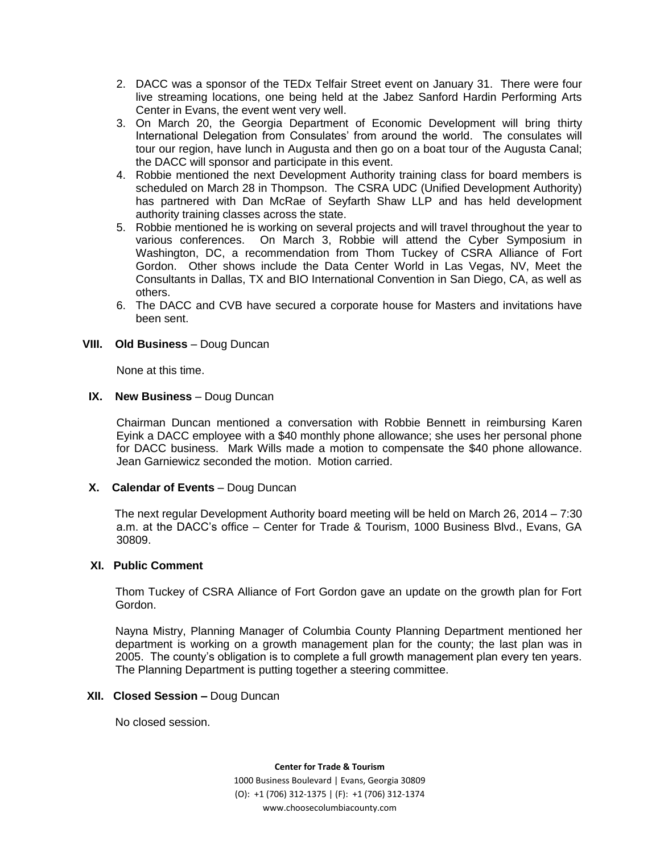- 2. DACC was a sponsor of the TEDx Telfair Street event on January 31. There were four live streaming locations, one being held at the Jabez Sanford Hardin Performing Arts Center in Evans, the event went very well.
- 3. On March 20, the Georgia Department of Economic Development will bring thirty International Delegation from Consulates' from around the world. The consulates will tour our region, have lunch in Augusta and then go on a boat tour of the Augusta Canal; the DACC will sponsor and participate in this event.
- 4. Robbie mentioned the next Development Authority training class for board members is scheduled on March 28 in Thompson. The CSRA UDC (Unified Development Authority) has partnered with Dan McRae of Seyfarth Shaw LLP and has held development authority training classes across the state.
- 5. Robbie mentioned he is working on several projects and will travel throughout the year to various conferences. On March 3, Robbie will attend the Cyber Symposium in Washington, DC, a recommendation from Thom Tuckey of CSRA Alliance of Fort Gordon. Other shows include the Data Center World in Las Vegas, NV, Meet the Consultants in Dallas, TX and BIO International Convention in San Diego, CA, as well as others.
- 6. The DACC and CVB have secured a corporate house for Masters and invitations have been sent.

### **VIII.** Old Business - Doug Duncan

None at this time.

### **IX.** New Business - Doug Duncan

Chairman Duncan mentioned a conversation with Robbie Bennett in reimbursing Karen Eyink a DACC employee with a \$40 monthly phone allowance; she uses her personal phone for DACC business. Mark Wills made a motion to compensate the \$40 phone allowance. Jean Garniewicz seconded the motion. Motion carried.

### **X.** Calendar of Events – Doug Duncan

The next regular Development Authority board meeting will be held on March 26, 2014 – 7:30 a.m. at the DACC's office – Center for Trade & Tourism, 1000 Business Blvd., Evans, GA 30809.

### **XI. Public Comment**

Thom Tuckey of CSRA Alliance of Fort Gordon gave an update on the growth plan for Fort Gordon.

Nayna Mistry, Planning Manager of Columbia County Planning Department mentioned her department is working on a growth management plan for the county; the last plan was in 2005. The county's obligation is to complete a full growth management plan every ten years. The Planning Department is putting together a steering committee.

### **XII. Closed Session –** Doug Duncan

No closed session.

#### **Center for Trade & Tourism**

1000 Business Boulevard | Evans, Georgia 30809 (O): +1 (706) 312-1375 | (F): +1 (706) 312-1374 www.choosecolumbiacounty.com